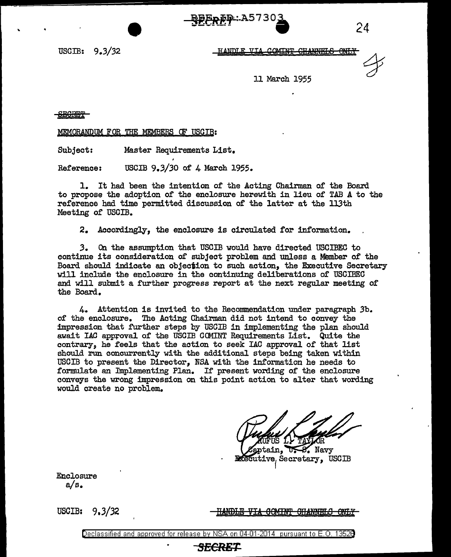**BEpFD:A5730**  $\sim$  .  $\sim$  24

USCIB: 9.3/32

HANDLE VIA COMING CHANNELS

11 March 1955

-SEGRET-

MEMORANDUM FOR THE MEM§ERS OF USCIB:

Subject: Master Requirements List.

Reference: USCIB *9.3/30* of 4 March 1955.

1. It had been the intention of the Acting Chairman of the Board to propose the adoption of the enclosure herewith in lieu of TAB A to the reference had time permitted discussion of the latter at the ll3th Meeting of USCIB.

2. Accordingly, the enclosure is circulated for information.

*3.* On the assumption that USCIB would have directed USCIBEC to continue its consideration of subject problem and unless a Member of the Board should indicate an objection to such action, the Executive Secretary 'Will include the enclosure in the continuing deliberations of USCIBEC and will submit a further progress report at the next regular meeting of the Board.

4. Attention is invited to the Reconnnendation under paragraph .3b. of the enclosure. The Acting Chairman did not intend to convey the impression that further steps by USGIB in implementing the plan should await IAC approval of the USCIB COMINT Requirements List. Quite the contrary, he feels that the action to seek IAC approval of that list should run concurrently with the additional steps being taken within USCIB to present the Director, NSA with the information he needs to formulate an Implementing Plan. If present wording of the enclosure conveys the wrong impression on this point action to alter that wording would create no problem.

Navy futive, Secretary, USCIB

Enclosure a/s.

USOIB: 9,3/32

**GOMINT OHANNELS** 

# SECRE <u>———————————————————————————</u>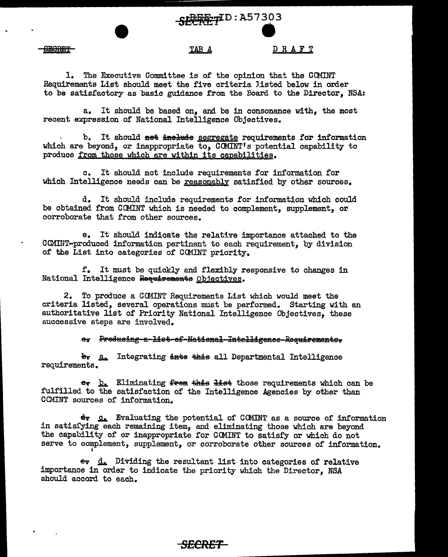REE-1ID:A57303

DRAFT

#### TAB A

<del>SBORFT</del>

### 1. The Executive Committee is of the opinion that the COMINT Requirements List should meet the five criteria listed below in order to be satisfactory as basic guidance from the Board to the Director, NSA:

a. It should be based on, and be in consonance with, the most recent expression of National Intelligence Objectives.

b. It should net inelude segregate requirements for information which are beyond, or inappropriate to,  $C\mathbb{M} \mathbb{N} \mathbb{T}$ 's potential capability to produce from those which are within its capabilities.

c. It should not include requirements for information for which Intelligence needs can be reasonably satisfied by other sources.

d. It should include requirements for information which could be obtained from COMINT which is needed to complement, supplement, or corroborate that from other sources.

e. It should indicate the relative importance attached to the CC.Mil~T-produced information pertinent to each requirement, by division of the List into categories of OCMINT priority.

f. It must be quickly and flexibly responsive to changes in National Intelligence Requirements Objectives.

2. To produce a GCl4INT Requirements List whioh would meet the criteria listed, several operations must be performed. Starting with an authoritative list of Priority National Intelligence Objectives, these successive steps are involved.

a. Preducing-a-list-ef-National-Intelligence-Requirements.

 $\frac{b_r}{a_r}$  Integrating <del>into</del> this all Departmental Intelligence requirements.

e<sub>T</sub> **b.** Eliminating frem this list those requirements which can be fulfilled to the satisfaction of the Intelligence Agencies by other than CCMINT sources of information.

 $\mathbf{d}$ . Evaluating the potential of CCMINT as a source of information in satis£ying each remaining item, and eliminating those which are beyond the capability of or inappropriate for COMINT to satisfy or which do not serve to complement, supplement, or corroborate other sources of information.

er  $d_a$  Dividing the resultant list into categories of relative importance in order to indicate the priority which the Director, NSA should accord to each.

# *SECRET*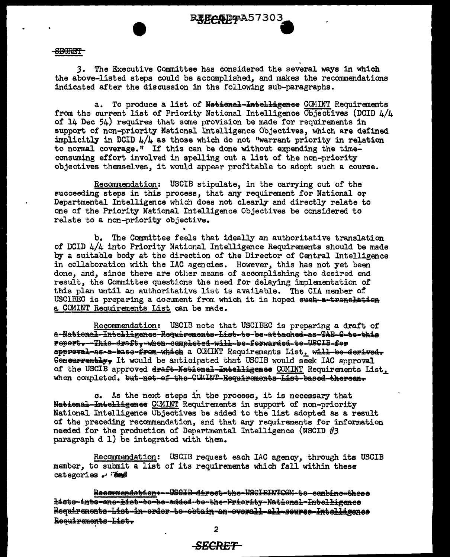

#### **SECRET**

The Executive Committee has considered the several ways in which  $3.$ the above-listed steps could be accomplished, and makes the recommendations indicated after the discussion in the following sub-paragraphs.

To produce a list of National-Intelligence COMINT Requirements  $a_{\bullet}$ from the current list of Priority National Intelligence Objectives (DCID  $\mu/\mu$ of 14 Dec 54) requires that some provision be made for requirements in support of non-priority National Intelligence Objectives, which are defined implicitly in DCID  $\frac{1}{4}$  as those which do not "warrant priority in relation to normal coverage." If this can be done without expending the timeconsuming effort involved in spelling out a list of the non-priority objectives themselves, it would appear profitable to adopt such a course.

Recommendation: USCIB stipulate, in the carrying out of the succeeding steps in this process, that any requirement for National or Departmental Intelligence which does not clearly and directly relate to one of the Priority National Intelligence Objectives be considered to relate to a non-priority objective.

b. The Committee feels that ideally an authoritative translation of DCID  $L/L$  into Priority National Intelligence Requirements should be made by a suitable body at the direction of the Director of Central Intelligence in collaboration with the IAC agencies. However, this has not yet been done, and, since there are other means of accomplishing the desired end result, the Committee questions the need for delaying implementation of this plan until an authoritative list is available. The CIA member of USCIBEC is preparing a document from which it is hoped such-a-tranchation a COMINT Requirements List can be made.

Recommendation: USCIB note that USCIBEC is preparing a draft of a-National-Intelligence-Requirements-List-te-be-attached-as-TAB-C-te-this report---This-draft--when-completed-will-be-forwarded-te-USCIB-fer appreval-as-a-base-from-which a COMINT Requirements List. will-be-derived-Goneurrently, It would be anticipated that USCIB would seek IAC approval of the USCIB approved draft-National-Intelligence COMINT Requirements List. when completed. but-net-ef-the-GCMINT-Requirements-Liet-based-thereen.

c. As the next steps in the process, it is necessary that National-Intelligenee CCMINT Requirements in support of non-priority National Intelligence Objectives be added to the list adopted as a result of the preceding recommendation, and that any requirements for information needed for the production of Departmental Intelligence (NSCID  $#3$ paragraph d 1) be integrated with them.

Recommendation: USCIB request each IAC agency, through its USCIB member, to submit a list of its requirements which fall within these categories . Tend

Recommendation+--USGIB-direct-the-USGIBINTCOM-te-combine-these <del>listo-into-one-list-to-be-added-to-the-Priority-National-Intelligence</del> Requirements-List-in-order-te-cotain-an-overall-all-course-Intelligence Requirements-List.

## <del>SECRET</del>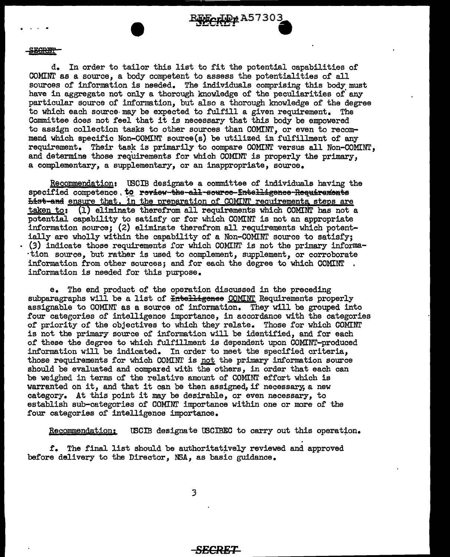$\frac{R_{\text{ECR}}}{R_{\text{ECR}}}\approx 1.57303$ 

d. In order to tailor this list to fit the potential capabilities of COMINT as a source, a body competent to assess the potentialities of all sources of information is needed. The individuals comprising this body must have in aggregate not only a thorough knowledge of the peculiarities of' any particular source of information, but also a thorough knowledge of the degree to which each source· may be expected to fulfill a given requirement. The Committee does not feel that it is necessary that this body be empowered to assign collection tasks to other sources than COMINT, or even to recommend which specific Non-COMINI' source(s) be utilized in fulfillment of any requirement. Their task is primarily to compare COMINT versus all Non-COMINT, and determine those requirements for which COMINT is properly the primary, a complementary, a supplementary, or an inappropriate, source.

Recommendation: tBCIB designate a committee of individuals having the specified competence, to review-the-all-seuree-frielligence-Requirements List-and ensure that, in the preparation of COMINI requirements steps are taken to: {l) eliminate therefrom all requirements which COMINI' has not a potential capability to satisfy or for which COMINT is not an appropriate information source; (2) eliminate therefrom all requirements which potent-<br>ially are wholly within the capability of a Non-COMINT source to satisfy;  $(3)$  indicate those requirements for which COMINT is not the primary informa-·tion source, but rather is used to complement, supplement, or corroborate information from other sources; and for each the degree to which COMINI' . information is needed for this purpose.

e. The end product of the operation discussed in the preceding subparagraphs will be a list of <del>Intelligence</del> COMINT Requirements properly assignable to COMINT as a source of information. They will be grouped into four categories of intelligence importance, in accordance with the categories of priority of the objectives to which they relate. Those for which COMINT is not the primary source of information will be identified, and for each of these the degree to which fulfillment is dependent upon COMINT-produced information will be indicated. In order to meet the specified criteria, those requirements for which COMINT is not the primary information source should be evaluated and compared with the others, in order that each can be weighed in terms of the relative amount of COMINT effort which is warranted on it, and that it can be then assigned, if necessary, a new category. At this point it may be desirable, or even necessary, to establish sub-categories of COMINI' importance within one or more of the four categories of intelligence importance.

Recommendation: USCIB designate USCIBEC to carry out this operation.

£. The final list should be authoritat~vely reviewed and approved before delivery to the Director, NSA, as basic guidance.

3

### <del>SECRET</del>